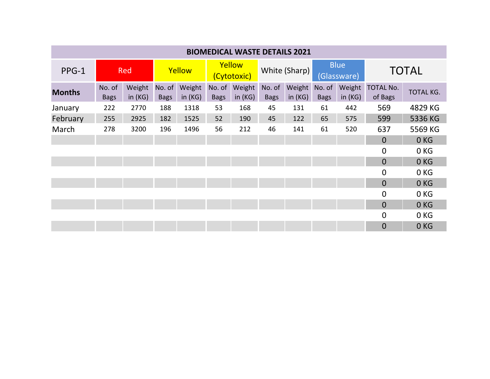| <b>BIOMEDICAL WASTE DETAILS 2021</b> |                       |                     |                       |                     |                       |                     |                       |                     |                            |                     |                             |                  |
|--------------------------------------|-----------------------|---------------------|-----------------------|---------------------|-----------------------|---------------------|-----------------------|---------------------|----------------------------|---------------------|-----------------------------|------------------|
| PPG-1                                | <b>Red</b>            |                     | Yellow                |                     | Yellow<br>(Cytotoxic) |                     | White (Sharp)         |                     | <b>Blue</b><br>(Glassware) |                     | <b>TOTAL</b>                |                  |
| <b>Months</b>                        | No. of<br><b>Bags</b> | Weight<br>in $(KG)$ | No. of<br><b>Bags</b> | Weight<br>in $(KG)$ | No. of<br><b>Bags</b> | Weight<br>in $(KG)$ | No. of<br><b>Bags</b> | Weight<br>in $(KG)$ | No. of<br><b>Bags</b>      | Weight<br>in $(KG)$ | <b>TOTAL No.</b><br>of Bags | <b>TOTAL KG.</b> |
| January                              | 222                   | 2770                | 188                   | 1318                | 53                    | 168                 | 45                    | 131                 | 61                         | 442                 | 569                         | 4829 KG          |
| February                             | 255                   | 2925                | 182                   | 1525                | 52                    | 190                 | 45                    | 122                 | 65                         | 575                 | 599                         | 5336 KG          |
| March                                | 278                   | 3200                | 196                   | 1496                | 56                    | 212                 | 46                    | 141                 | 61                         | 520                 | 637                         | 5569 KG          |
|                                      |                       |                     |                       |                     |                       |                     |                       |                     |                            |                     | $\overline{0}$              | 0KG              |
|                                      |                       |                     |                       |                     |                       |                     |                       |                     |                            |                     | $\mathbf 0$                 | 0KG              |
|                                      |                       |                     |                       |                     |                       |                     |                       |                     |                            |                     | $\Omega$                    | 0 <sub>KG</sub>  |
|                                      |                       |                     |                       |                     |                       |                     |                       |                     |                            |                     | 0                           | 0 KG             |
|                                      |                       |                     |                       |                     |                       |                     |                       |                     |                            |                     | $\overline{0}$              | 0KG              |
|                                      |                       |                     |                       |                     |                       |                     |                       |                     |                            |                     | $\overline{0}$              | 0 KG             |
|                                      |                       |                     |                       |                     |                       |                     |                       |                     |                            |                     | $\overline{0}$              | 0KG              |
|                                      |                       |                     |                       |                     |                       |                     |                       |                     |                            |                     | 0                           | 0 KG             |
|                                      |                       |                     |                       |                     |                       |                     |                       |                     |                            |                     | $\overline{0}$              | 0 <sub>KG</sub>  |